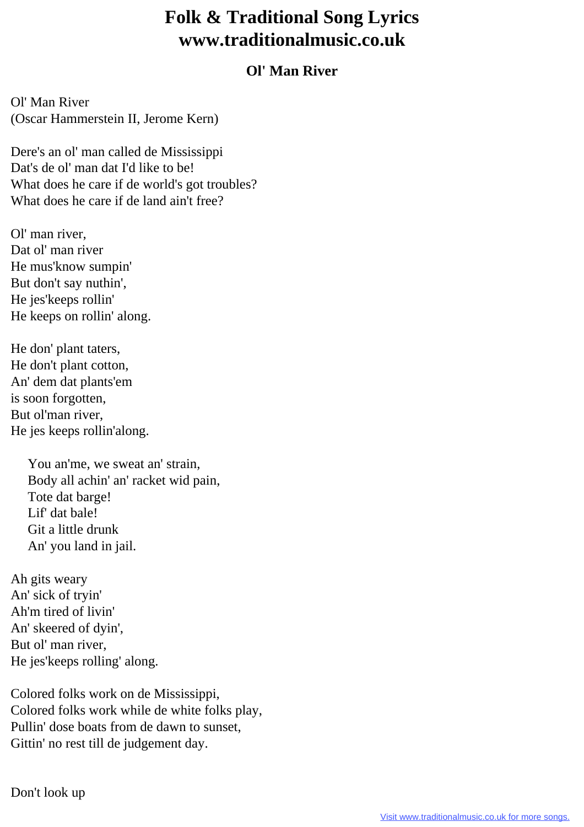## **Folk & Traditional Song Lyrics www.traditionalmusic.co.uk**

## **Ol' Man River**

Ol' Man River (Oscar Hammerstein II, Jerome Kern)

Dere's an ol' man called de Mississippi Dat's de ol' man dat I'd like to be! What does he care if de world's got troubles? What does he care if de land ain't free?

Ol' man river, Dat ol' man river He mus'know sumpin' But don't say nuthin', He jes'keeps rollin' He keeps on rollin' along.

He don' plant taters, He don't plant cotton, An' dem dat plants'em is soon forgotten, But ol'man river, He jes keeps rollin'along.

> You an'me, we sweat an' strain, Body all achin' an' racket wid pain, Tote dat barge! Lif' dat bale! Git a little drunk An' you land in jail.

Ah gits weary An' sick of tryin' Ah'm tired of livin' An' skeered of dyin', But ol' man river, He jes'keeps rolling' along.

Colored folks work on de Mississippi, Colored folks work while de white folks play, Pullin' dose boats from de dawn to sunset, Gittin' no rest till de judgement day.

Don't look up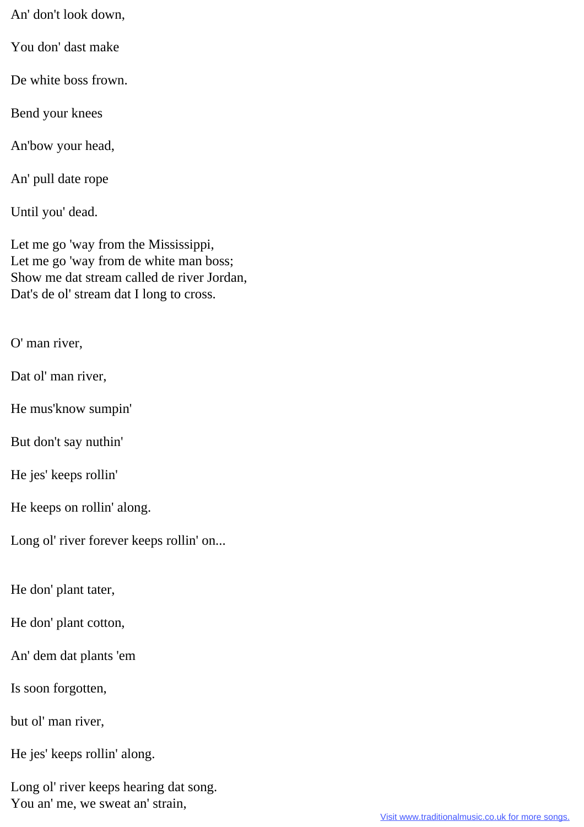An' don't look down,

You don' dast make

De white boss frown.

Bend your knees

An'bow your head,

An' pull date rope

Until you' dead.

Let me go 'way from the Mississippi, Let me go 'way from de white man boss; Show me dat stream called de river Jordan, Dat's de ol' stream dat I long to cross.

O' man river,

Dat ol' man river,

He mus'know sumpin'

But don't say nuthin'

He jes' keeps rollin'

He keeps on rollin' along.

Long ol' river forever keeps rollin' on...

He don' plant tater,

He don' plant cotton,

An' dem dat plants 'em

Is soon forgotten,

but ol' man river,

He jes' keeps rollin' along.

Long ol' river keeps hearing dat song. You an' me, we sweat an' strain,